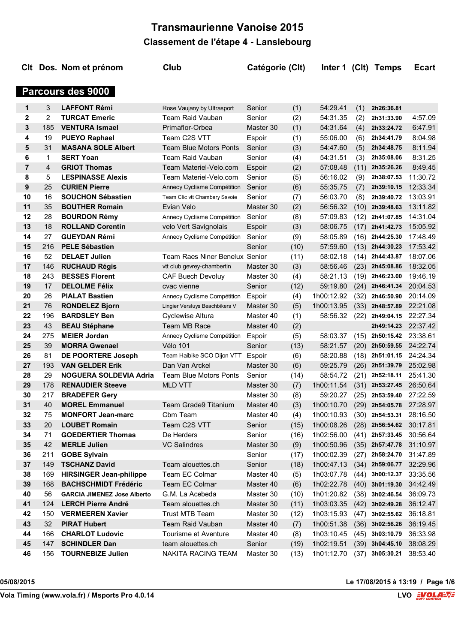|                |                | Clt Dos. Nom et prénom             | Club                           | Catégorie (Clt) |      | Inter 1    |      | (Clt) Temps              | <b>Ecart</b> |
|----------------|----------------|------------------------------------|--------------------------------|-----------------|------|------------|------|--------------------------|--------------|
|                |                |                                    |                                |                 |      |            |      |                          |              |
|                |                | Parcours des 9000                  |                                |                 |      |            |      |                          |              |
| $\mathbf 1$    | 3              | <b>LAFFONT Rémi</b>                | Rose Vaujany by Ultrasport     | Senior          | (1)  | 54:29.41   | (1)  | 2h26:36.81               |              |
| $\mathbf{2}$   | $\overline{2}$ | <b>TURCAT Emeric</b>               | Team Raid Vauban               | Senior          | (2)  | 54:31.35   | (2)  | 2h31:33.90               | 4:57.09      |
| 3              | 185            | <b>VENTURA Ismael</b>              | Primaflor-Orbea                | Master 30       | (1)  | 54:31.64   | (4)  | 2h33:24.72               | 6:47.91      |
| 4              | 19             | <b>PUEYO Raphael</b>               | Team C2S VTT                   | Espoir          | (1)  | 55:06.00   | (6)  | 2h34:41.79               | 8:04.98      |
| 5              | 31             | <b>MASANA SOLE Albert</b>          | <b>Team Blue Motors Ponts</b>  | Senior          | (3)  | 54:47.60   | (5)  | 2h34:48.75               | 8:11.94      |
| 6              | 1              | <b>SERT Yoan</b>                   | <b>Team Raid Vauban</b>        | Senior          | (4)  | 54:31.51   | (3)  | 2h35:08.06               | 8:31.25      |
| $\overline{7}$ | 4              | <b>GRIOT Thomas</b>                | Team Materiel-Velo.com         | Espoir          | (2)  | 57:08.48   | (11) | 2h35:26.26               | 8:49.45      |
| 8              | 5              | <b>LESPINASSE Alexis</b>           | Team Materiel-Velo.com         | Senior          | (5)  | 56:16.02   | (9)  | 2h38:07.53               | 11:30.72     |
| 9              | 25             | <b>CURIEN Pierre</b>               | Annecy Cyclisme Compétition    | Senior          | (6)  | 55:35.75   | (7)  | 2h39:10.15               | 12:33.34     |
| 10             | 16             | <b>SOUCHON Sébastien</b>           | Team Clic vtt Chambery Savoie  | Senior          | (7)  | 56:03.70   | (8)  | 2h39:40.72               | 13:03.91     |
| 11             | 35             | <b>BOUTHER Romain</b>              | Evian Velo                     | Master 30       | (2)  | 56:56.32   | (10) | 2h39:48.63               | 13:11.82     |
| 12             | 28             | <b>BOURDON Rémy</b>                | Annecy Cyclisme Compétition    | Senior          | (8)  | 57:09.83   | (12) | 2h41:07.85               | 14:31.04     |
| 13             | 18             | <b>ROLLAND Corentin</b>            | velo Vert Savignolais          | Espoir          | (3)  | 58:06.75   | (17) | 2h41:42.73               | 15:05.92     |
| 14             | 27             | <b>GUEYDAN Rémi</b>                | Annecy Cyclisme Compétition    | Senior          | (9)  | 58:05.89   | (16) | 2h44:25.30               | 17:48.49     |
| 15             | 216            | <b>PELE Sébastien</b>              |                                | Senior          | (10) | 57:59.60   |      | $(13)$ 2h44:30.23        | 17:53.42     |
| 16             | 52             | <b>DELAET Julien</b>               | Team Raes Niner Benelux Senior |                 | (11) | 58:02.18   | (14) | 2h44:43.87               | 18:07.06     |
| 17             | 146            | <b>RUCHAUD Régis</b>               | vtt club gevrey-chambertin     | Master 30       | (3)  | 58:56.46   | (23) | 2h45:08.86               | 18:32.05     |
| 18             | 243            | <b>BESSES Florent</b>              | <b>CAF Buech Devoluy</b>       | Master 30       | (4)  | 58:21.13   | (19) | 2h46:23.00               | 19:46.19     |
| 19             | 17             | <b>DELOLME Félix</b>               | cvac vienne                    | Senior          | (12) | 59:19.80   | (24) | 2h46:41.34               | 20:04.53     |
| 20             | 26             | <b>PIALAT Bastien</b>              | Annecy Cyclisme Compétition    | Espoir          | (4)  | 1h00:12.92 | (32) | 2h46:50.90               | 20:14.09     |
| 21             | 76             | <b>RONDELEZ Bjorn</b>              | Lingier Versluys Beachbikers V | Master 30       | (5)  | 1h00:13.95 | (33) | 2h48:57.89               | 22:21.08     |
| 22             | 196            | <b>BARDSLEY Ben</b>                | Cyclewise Altura               | Master 40       | (1)  | 58:56.32   | (22) | 2h49:04.15               | 22:27.34     |
| 23             | 43             | <b>BEAU Stéphane</b>               | Team MB Race                   | Master 40       | (2)  |            |      | 2h49:14.23               | 22:37.42     |
| 24             | 275            | <b>MEIER Jordan</b>                | Annecy Cyclisme Compétition    | Espoir          | (5)  | 58:03.37   | (15) | 2h50:15.42               | 23:38.61     |
| 25             | 39             | <b>MORRA Gwenael</b>               | <b>Vélo 101</b>                | Senior          | (13) | 58:21.57   | (20) | 2h50:59.55               | 24:22.74     |
| 26             | 81             | DE POORTERE Joseph                 | Team Haibike SCO Dijon VTT     | Espoir          | (6)  | 58:20.88   | (18) | 2h51:01.15               | 24:24.34     |
| 27             | 193            | <b>VAN GELDER Erik</b>             | Dan Van Arckel                 | Master 30       | (6)  | 59:25.79   | (26) | 2h51:39.79               | 25:02.98     |
| 28             | 29             | NOGUERA SOLDEVIA Adria             | <b>Team Blue Motors Ponts</b>  | Senior          | (14) | 58:54.72   | (21) | 2h52:18.11               | 25:41.30     |
| 29             | 178            | <b>RENAUDIER Steeve</b>            | <b>MLD VTT</b>                 | Master 30       | (7)  | 1h00:11.54 | (31) | 2h53:27.45               | 26:50.64     |
| 30             | 217            | <b>BRADEFER Gery</b>               |                                | Master 30       | (8)  | 59:20.27   | (25) | 2h53:59.40               | 27:22.59     |
| 31             | 40             | <b>MOREL Emmanuel</b>              | Team Grade9 Titanium           | Master 40       | (3)  | 1h00:10.70 |      | (29) 2h54:05.78 27:28.97 |              |
| 32             | 75             | <b>MONFORT Jean-marc</b>           | Cbm Team                       | Master 40       | (4)  | 1h00:10.93 | (30) | 2h54:53.31               | 28:16.50     |
| 33             | 20             | <b>LOUBET Romain</b>               | Team C2S VTT                   | Senior          | (15) | 1h00:08.26 |      | (28) 2h56:54.62 30:17.81 |              |
| 34             | 71             | <b>GOEDERTIER Thomas</b>           | De Herders                     | Senior          | (16) | 1h02:56.00 |      | $(41)$ 2h57:33.45        | 30:56.64     |
| 35             | 42             | <b>MERLE Julien</b>                | <b>VC Salindres</b>            | Master 30       | (9)  | 1h00:50.96 |      | $(35)$ 2h57:47.78        | 31:10.97     |
| 36             | 211            | <b>GOBE Sylvain</b>                |                                | Senior          | (17) | 1h00:02.39 | (27) | 2h58:24.70               | 31:47.89     |
| 37             | 149            | <b>TSCHANZ David</b>               | Team alouettes.ch              | Senior          | (18) | 1h00:47.13 | (34) | 2h59:06.77               | 32:29.96     |
| 38             | 169            | <b>HIRSINGER Jean-philippe</b>     | Team EC Colmar                 | Master 40       | (5)  | 1h03:07.78 | (44) | 3h00:12.37               | 33:35.56     |
| 39             | 168            | <b>BACHSCHMIDT Frédéric</b>        | Team EC Colmar                 | Master 40       | (6)  | 1h02:22.78 | (40) | 3h01:19.30               | 34:42.49     |
| 40             | 56             | <b>GARCIA JIMENEZ Jose Alberto</b> | G.M. La Acebeda                | Master 30       | (10) | 1h01:20.82 |      | $(38)$ 3h02:46.54        | 36:09.73     |
| 41             | 124            | <b>LERCH Pierre André</b>          | Team alouettes.ch              | Master 30       | (11) | 1h03:03.35 | (42) | 3h02:49.28               | 36:12.47     |
| 42             | 150            | <b>VERMEEREN Xavier</b>            | Trust MTB Team                 | Master 30       | (12) | 1h03:15.93 | (47) | 3h02:55.62               | 36:18.81     |
| 43             | 32             | <b>PIRAT Hubert</b>                | Team Raid Vauban               | Master 40       | (7)  | 1h00:51.38 | (36) | 3h02:56.26               | 36:19.45     |
| 44             | 166            | <b>CHARLOT Ludovic</b>             | Tourisme et Aventure           | Master 40       | (8)  | 1h03:10.45 | (45) | 3h03:10.79               | 36:33.98     |
| 45             | 147            | <b>SCHINDLER Dan</b>               | team alouettes.ch              | Senior          | (19) | 1h02:19.51 |      | $(39)$ 3h04:45.10        | 38:08.29     |
| 46             | 156            | <b>TOURNEBIZE Julien</b>           | NAKITA RACING TEAM             | Master 30       | (13) | 1h01:12.70 |      | $(37)$ 3h05:30.21        | 38:53.40     |

**05/08/2015 Le 17/08/2015 à 13:19 / Page 1/6**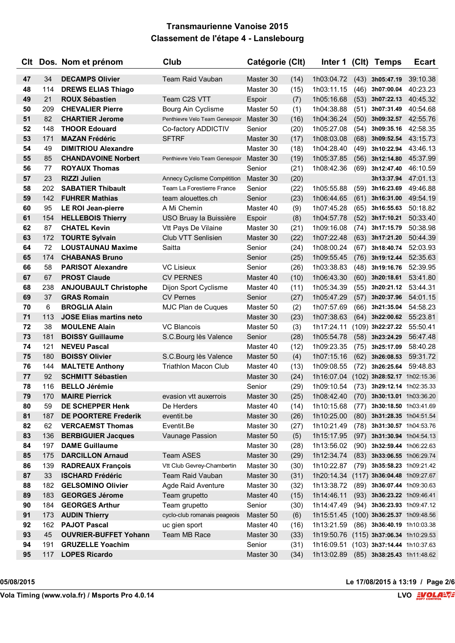| 47<br>34<br><b>DECAMPS Olivier</b><br><b>Team Raid Vauban</b><br>Master 30<br>(14)<br>1h03:04.72<br>(43)<br>48<br><b>DREWS ELIAS Thiago</b><br>Master 30<br>1h03:11.15<br>114<br>(15)<br>(46) | 3h05:47.19<br>39:10.38<br>3h07:00.04<br>40:23.23 |
|-----------------------------------------------------------------------------------------------------------------------------------------------------------------------------------------------|--------------------------------------------------|
|                                                                                                                                                                                               |                                                  |
|                                                                                                                                                                                               |                                                  |
| 49<br>21<br>Team C2S VTT<br><b>ROUX Sébastien</b><br>Espoir<br>1h05:16.68<br>(53)<br>(7)                                                                                                      | 3h07:22.13<br>40:45.32                           |
| 50<br>209<br><b>CHEVALIER Pierre</b><br>Master 50<br>Bourg Ain Cyclisme<br>(1)<br>1h04:38.88<br>(51)                                                                                          | 3h07:31.49<br>40:54.68                           |
| 51<br>82<br><b>CHARTIER Jerome</b><br>Penthievre Velo Team Genespoir<br>(16)<br>1h04:36.24<br>(50)<br>Master 30                                                                               | 3h09:32.57<br>42:55.76                           |
| 52<br>148<br><b>THOOR Edouard</b><br>(20)<br>Co-factory ADDICTIV<br>1h05:27.08<br>(54)<br>Senior                                                                                              | 42:58.35<br>3h09:35.16                           |
| 53<br>171<br><b>MAZAN Frédéric</b><br><b>SFTRF</b><br>Master 30<br>(17)<br>1h08:03.08<br>(68)                                                                                                 | 3h09:52.54<br>43:15.73                           |
| 54<br>49<br><b>DIMITRIOU Alexandre</b><br>Master 30<br>1h04:28.40<br>(49)<br>(18)                                                                                                             | 3h10:22.94<br>43:46.13                           |
| 55<br>85<br><b>CHANDAVOINE Norbert</b><br>1h05:37.85<br>Master 30<br>(19)<br>(56)<br>Penthievre Velo Team Genespoir                                                                           | 3h12:14.80<br>45:37.99                           |
| 56<br>77<br><b>ROYAUX Thomas</b><br>Senior<br>(21)<br>1h08:42.36<br>(69)                                                                                                                      | 3h12:47.40<br>46:10.59                           |
| 57<br>23<br><b>RIZZI Julien</b><br>(20)<br>Master 30<br>Annecy Cyclisme Compétition                                                                                                           | 47:01.13<br>3h13:37.94                           |
| 58<br>202<br><b>SABATIER Thibault</b><br>Senior<br>(22)<br>1h05:55.88<br>(59)<br>Team La Forestierre France                                                                                   | 49:46.88<br>3h16:23.69                           |
| 59<br>142<br><b>FUHRER Mathias</b><br>team alouettes.ch<br>(23)<br>1h06:44.65<br>(61)<br>Senior                                                                                               | 3h16:31.00<br>49:54.19                           |
| 60<br>95<br><b>LE ROI Jean-pierre</b><br>A Mi Chemin<br>Master 40<br>(9)<br>1h07:45.28<br>(65)                                                                                                | 50:18.82<br>3h16:55.63                           |
| 61<br>154<br><b>HELLEBOIS Thierry</b><br>USO Bruay la Buissière<br>(8)<br>1h04:57.78<br>(52)<br>Espoir                                                                                        | 3h17:10.21<br>50:33.40                           |
| 62<br>87<br><b>CHATEL Kevin</b><br>Vtt Pays De Vilaine<br>Master 30<br>(21)<br>1h09:16.08<br>(74)                                                                                             | 50:38.98<br>3h17:15.79                           |
| 63<br>172<br>Club VTT Senlisien<br>1h07:22.48<br><b>TOURTE Sylvain</b><br>Master 30<br>(22)                                                                                                   | $(63)$ 3h17:21.20<br>50:44.39                    |
| 64<br>72<br><b>LOUSTAUNAU Maxime</b><br>Saitta<br>1h08:00.24<br>Senior<br>(24)<br>(67)                                                                                                        | 52:03.93<br>3h18:40.74                           |
| 65<br>174<br><b>CHABANAS Bruno</b><br>(25)<br>1h09:55.45<br>(76)<br>Senior                                                                                                                    | 52:35.63<br>3h19:12.44                           |
| 66<br>58<br><b>PARISOT Alexandre</b><br><b>VC Lisieux</b><br>(26)<br>1h03:38.83<br>(48)<br>Senior                                                                                             | 52:39.95<br>3h19:16.76                           |
| 67<br>67<br><b>PROST Claude</b><br><b>CV PERNES</b><br>1h06:43.30<br>Master 40<br>(10)<br>(60)                                                                                                | 3h20:18.61<br>53:41.80                           |
| 68<br>238<br>(55)<br><b>ANJOUBAULT Christophe</b><br>Dijon Sport Cyclisme<br>Master 40<br>1h05:34.39<br>(11)                                                                                  | 53:44.31<br>3h20:21.12                           |
| 69<br>37<br><b>GRAS Romain</b><br><b>CV Pernes</b><br>(27)<br>1h05:47.29<br>(57)<br>Senior                                                                                                    | 3h20:37.96<br>54:01.15                           |
| 70<br><b>BROGLIA Alain</b><br>MJC Plan de Cuques<br>1h07:57.69<br>6<br>Master 50<br>(2)<br>(66)                                                                                               | 54:58.23<br>3h21:35.04                           |
| 71<br>113<br><b>JOSE Elias martins neto</b><br>Master 30<br>(23)<br>1h07:38.63<br>(64)                                                                                                        | 55:23.81<br>3h22:00.62                           |
| 72<br>38<br><b>MOULENE Alain</b><br><b>VC Blancois</b><br>Master 50<br>1h17:24.11<br>(3)                                                                                                      | 55:50.41<br>$(109)$ 3h22:27.22                   |
| 73<br>181<br><b>BOISSY Guillaume</b><br>S.C.Bourg lès Valence<br>(28)<br>1h05:54.78<br>Senior<br>(58)                                                                                         | 3h23:24.29<br>56:47.48                           |
| 74<br>121<br><b>NEVEU Pascal</b><br>1h09:23.35<br>Master 40<br>(12)<br>(75)                                                                                                                   | 58:40.28<br>3h25:17.09                           |
| 75<br>180<br><b>BOISSY Olivier</b><br>S.C.Bourg lès Valence<br>1h07:15.16<br>Master 50<br>(4)                                                                                                 | $(62)$ 3h26:08.53<br>59:31.72                    |
| <b>MALTETE Anthony</b><br><b>Triathlon Macon Club</b><br>76<br>144<br>Master 40<br>(13)<br>1h09:08.55<br>(72)                                                                                 | 3h26:25.64<br>59:48.83                           |
| 77<br>92<br><b>SCHMITT Sébastien</b><br>Master 30<br>(24)<br>1h16:07.04                                                                                                                       | $(102)$ 3h28:52.17 1h02:15.36                    |
| 78<br>116<br><b>BELLO Jérémie</b><br>(29)<br>1h09:10.54<br>Senior                                                                                                                             | (73) 3h29:12.14 1h02:35.33                       |
| 79<br>(25)<br>170<br><b>MAIRE Pierrick</b><br>evasion vtt auxerrois<br>Master 30                                                                                                              | 1h08:42.40 (70) 3h30:13.01 1h03:36.20            |
| 80<br>59<br>DE SCHEPPER Henk<br>De Herders<br>1h10:15.68<br>Master 40<br>(14)                                                                                                                 | $(77)$ 3h30:18.50 1h03:41.69                     |
| 81<br>187<br><b>DE POORTERE Frederik</b><br>eventit.be<br>(26)<br>1h10:25.00<br>Master 30                                                                                                     | (80) 3h31:28.35 1h04:51.54                       |
| Eventit.Be<br>82<br>62<br><b>VERCAEMST Thomas</b><br>Master 30<br>(27)<br>1h10:21.49                                                                                                          | (78) 3h31:30.57 1h04:53.76                       |
| 83<br>136<br><b>BERBIGUIER Jacques</b><br>Vaunage Passion<br>Master 50<br>1h15:17.95<br>(5)<br>(97)                                                                                           | 3h31:30.94 1h04:54.13                            |
| <b>DAME Guillaume</b><br>84<br>197<br>Master 30<br>1h13:56.02<br>(28)<br>(90)                                                                                                                 | 3h32:59.44 1h06:22.63                            |
| <b>DARCILLON Arnaud</b><br>Team ASES<br>85<br>175<br>Master 30<br>(29)<br>1h12:34.74<br>(83)                                                                                                  | 3h33:06.55 1h06:29.74                            |
| <b>RADREAUX François</b><br>1h10:22.87<br>86<br>139<br>Vtt Club Gevrey-Chambertin<br>Master 30<br>(30)                                                                                        | (79) 3h35:58.23 1h09:21.42                       |
| 33<br><b>ISCHARD Frédéric</b><br>Team Raid Vauban<br>1h20:14.34<br>87<br>Master 30<br>(31)                                                                                                    | $(117)$ 3h36:04.48 1h09:27.67                    |
| 1h13:38.72<br>88<br>182<br><b>GELSOMINO Olivier</b><br><b>Agde Raid Aventure</b><br>Master 30<br>(32)                                                                                         | (89) 3h36:07.44 1h09:30.63                       |
| 183<br><b>GEORGES Jérome</b><br>1h14:46.11<br>89<br>Team grupetto<br>Master 40<br>(15)                                                                                                        | (93) 3h36:23.22 1h09:46.41                       |
| 184<br>90<br><b>GEORGES Arthur</b><br>Team grupetto<br>Senior<br>(30)<br>1h14:47.49                                                                                                           | $(94)$ 3h36:23.93 1h09:47.12                     |
| <b>AUDIN Thierry</b><br>91<br>173<br>cyclo-club romanais peageois<br>Master 50<br>(6)<br>1h15:51.45                                                                                           | $(100)$ 3h36:25.37 1h09:48.56                    |
| <b>PAJOT Pascal</b><br>92<br>162<br>1h13:21.59<br>uc gien sport<br>Master 40<br>(16)                                                                                                          | (86) 3h36:40.19 1h10:03.38                       |
| Team MB Race<br>93<br>45<br><b>OUVRIER-BUFFET Yohann</b><br>Master 30<br>(33)<br>1h19:50.76                                                                                                   | $(115)$ 3h37:06.34 1h10:29.53                    |
| 94<br><b>GRUZELLE Yoachim</b><br>Senior<br>(31)<br>1h16:09.51<br>191                                                                                                                          | $(103)$ 3h37:14.44 1h10:37.63                    |
| <b>LOPES Ricardo</b><br>95<br>117<br>Master 30<br>(34)<br>1h13:02.89                                                                                                                          | (85) 3h38:25.43 1h11:48.62                       |

**05/08/2015 Le 17/08/2015 à 13:19 / Page 2/6**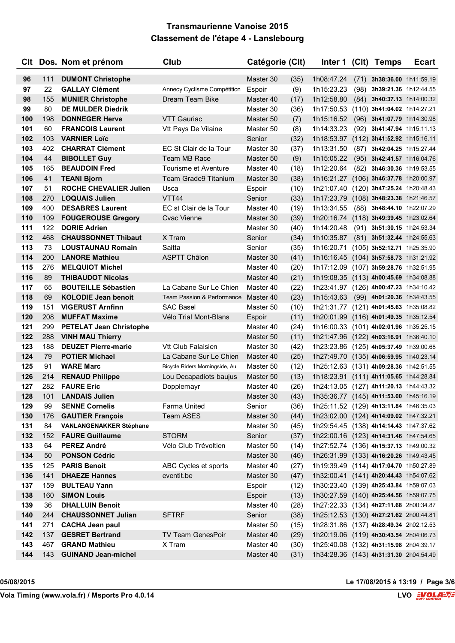|     |     | CIt Dos. Nom et prénom         | Club                           | Catégorie (Clt) |      |                                        |      | Inter 1 (CIt) Temps           | <b>Ecart</b> |
|-----|-----|--------------------------------|--------------------------------|-----------------|------|----------------------------------------|------|-------------------------------|--------------|
| 96  | 111 | <b>DUMONT Christophe</b>       |                                | Master 30       | (35) | 1h08:47.24                             | (71) | 3h38:36.00 1h11:59.19         |              |
| 97  | 22  | <b>GALLAY Clément</b>          | Annecy Cyclisme Compétition    | Espoir          | (9)  | 1h15:23.23                             | (98) | 3h39:21.36 1h12:44.55         |              |
| 98  | 155 | <b>MUNIER Christophe</b>       | Dream Team Bike                | Master 40       | (17) | 1h12:58.80                             |      | $(84)$ 3h40:37.13 1h14:00.32  |              |
| 99  | 80  | <b>DE MULDER Diedrik</b>       |                                | Master 30       | (36) | 1h17:50.53                             |      | (110) 3h41:04.02 1h14:27.21   |              |
| 100 | 198 | <b>DONNEGER Herve</b>          | <b>VTT Gauriac</b>             | Master 50       | (7)  | 1h15:16.52                             |      | $(96)$ 3h41:07.79 1h14:30.98  |              |
| 101 | 60  | <b>FRANCOIS Laurent</b>        | Vtt Pays De Vilaine            | Master 50       | (8)  | 1h14:33.23                             | (92) | 3h41:47.94 1h15:11.13         |              |
| 102 | 103 | <b>VARNIER Loïc</b>            |                                | Senior          | (32) | 1h18:53.97                             |      | (112) 3h41:52.92 1h15:16.11   |              |
| 103 | 402 | <b>CHARRAT Clément</b>         | EC St Clair de la Tour         | Master 30       | (37) | 1h13:31.50                             | (87) | 3h42:04.25 1h15:27.44         |              |
| 104 | 44  | <b>BIBOLLET Guy</b>            | Team MB Race                   | Master 50       | (9)  | 1h15:05.22                             |      | (95) 3h42:41.57 1h16:04.76    |              |
| 105 | 165 | <b>BEAUDOIN Fred</b>           | Tourisme et Aventure           | Master 40       | (18) | 1h12:20.64                             | (82) | 3h46:30.36 1h19:53.55         |              |
| 106 | 41  | <b>TEANI Bjorn</b>             | Team Grade9 Titanium           | Master 30       | (38) | 1h16:21.27                             |      | (106) 3h46:37.78 1h20:00.97   |              |
| 107 | 51  | <b>ROCHE CHEVALIER Julien</b>  | Usca                           | Espoir          | (10) | 1h21:07.40                             |      | (120) 3h47:25.24 1h20:48.43   |              |
| 108 | 270 | <b>LOQUAIS Julien</b>          | VTT44                          | Senior          | (33) | 1h17:23.79                             |      | $(108)$ 3h48:23.38 1h21:46.57 |              |
| 109 | 400 | <b>DESABRES Laurent</b>        | EC st Clair de la Tour         | Master 40       | (19) | 1h13:34.55                             |      | (88) 3h48:44.10 1h22:07.29    |              |
| 110 | 109 | <b>FOUGEROUSE Gregory</b>      | <b>Cvac Vienne</b>             | Master 30       | (39) | 1h20:16.74 (118) 3h49:39.45 1h23:02.64 |      |                               |              |
| 111 | 122 | <b>DORIE Adrien</b>            |                                | Master 30       | (40) | 1h14:20.48                             |      | (91) 3h51:30.15 1h24:53.34    |              |
| 112 | 468 | <b>CHAUSSONNET Thibaut</b>     | X Tram                         | Senior          | (34) | 1h10:35.87                             |      | $(81)$ 3h51:32.44 1h24:55.63  |              |
| 113 | 73  | <b>LOUSTAUNAU Romain</b>       | Saitta                         | Senior          | (35) | 1h16:20.71                             |      | (105) 3h52:12.71 1h25:35.90   |              |
| 114 | 200 | <b>LANORE Mathieu</b>          | <b>ASPTT Châlon</b>            | Master 30       | (41) | 1h16:16.45                             |      | (104) 3h57:58.73 1h31:21.92   |              |
| 115 | 276 | <b>MELQUIOT Michel</b>         |                                | Master 40       | (20) | 1h17:12.09                             |      | $(107)$ 3h59:28.76 1h32:51.95 |              |
| 116 | 89  | <b>THIBAUDOT Nicolas</b>       |                                | Master 40       | (21) | 1h19:08.35 (113) 4h00:45.69 1h34:08.88 |      |                               |              |
| 117 | 65  | <b>BOUTEILLE Sébastien</b>     | La Cabane Sur Le Chien         | Master 40       | (22) | 1h23:41.97 (126) 4h00:47.23 1h34:10.42 |      |                               |              |
| 118 | 69  | <b>KOLODIE Jean benoit</b>     | Team Passion & Performance     | Master 40       | (23) | 1h15:43.63                             |      | (99) 4h01:20.36 1h34:43.55    |              |
| 119 | 151 | <b>VIGERUST Arnfinn</b>        | <b>SAC Basel</b>               | Master 50       | (10) | 1h21:31.77 (121) 4h01:45.63 1h35:08.82 |      |                               |              |
| 120 | 208 | <b>MUFFAT Maxime</b>           | Vélo Trial Mont-Blans          | Espoir          | (11) | 1h20:01.99 (116) 4h01:49.35 1h35:12.54 |      |                               |              |
| 121 | 299 | <b>PETELAT Jean Christophe</b> |                                | Master 40       | (24) | 1h16:00.33 (101) 4h02:01.96 1h35:25.15 |      |                               |              |
| 122 | 288 | <b>VINH MAU Thierry</b>        |                                | Master 50       | (11) | 1h21:47.96 (122) 4h03:16.91 1h36:40.10 |      |                               |              |
| 123 | 188 | <b>DEUZET Pierre-marie</b>     | Vtt Club Falaisien             | Master 30       | (42) | 1h23:23.86 (125) 4h05:37.49 1h39:00.68 |      |                               |              |
| 124 | 79  | <b>POTIER Michael</b>          | La Cabane Sur Le Chien         | Master 40       | (25) | 1h27:49.70 (135) 4h06:59.95 1h40:23.14 |      |                               |              |
| 125 | 91  | <b>WARE Marc</b>               | Bicycle Riders Morningside, Au | Master 50       | (12) | 1h25:12.63 (131) 4h09:28.36 1h42:51.55 |      |                               |              |
| 126 | 214 | <b>RENAUD Philippe</b>         | Lou Decapadiots baujus         | Master 50       | (13) | 1h18:23.91 (111) 4h11:05.65 1h44:28.84 |      |                               |              |
| 127 | 282 | <b>FAURE Eric</b>              | Dopplemayr                     | Master 40       | (26) | 1h24:13.05 (127) 4h11:20.13 1h44:43.32 |      |                               |              |
| 128 | 101 | <b>LANDAIS Julien</b>          |                                | Master 30       | (43) | 1h35:36.77 (145) 4h11:53.00 1h45:16.19 |      |                               |              |
| 129 | 99  | <b>SENNE Cornelis</b>          | Farma United                   | Senior          | (36) | 1h25:11.52 (129) 4h13:11.84 1h46:35.03 |      |                               |              |
| 130 | 176 | <b>GAUTIER François</b>        | Team ASES                      | Master 30       | (44) | 1h23:02.00 (124) 4h14:09.02 1h47:32.21 |      |                               |              |
| 131 | 84  | <b>VANLANGENAKKER Stéphane</b> |                                | Master 30       | (45) | 1h29:54.45 (138) 4h14:14.43 1h47:37.62 |      |                               |              |
| 132 | 152 | <b>FAURE Guillaume</b>         | <b>STORM</b>                   | Senior          | (37) | 1h22:00.16 (123) 4h14:31.46 1h47:54.65 |      |                               |              |
| 133 | 64  | <b>PEREZ André</b>             | Vélo Club Trévoltien           | Master 50       | (14) | 1h27:52.74 (136) 4h15:37.13 1h49:00.32 |      |                               |              |
| 134 | 50  | <b>PONSON Cédric</b>           |                                | Master 30       | (46) | 1h26:31.99 (133) 4h16:20.26 1h49:43.45 |      |                               |              |
| 135 | 125 | <b>PARIS Benoit</b>            | ABC Cycles et sports           | Master 40       | (27) | 1h19:39.49 (114) 4h17:04.70 1h50:27.89 |      |                               |              |
| 136 | 141 | <b>DHAEZE Hannes</b>           | eventit.be                     | Master 30       | (47) | 1h32:00.41 (141) 4h20:44.43 1h54:07.62 |      |                               |              |
| 137 | 159 | <b>BULTEAU Yann</b>            |                                | Espoir          | (12) | 1h30:23.40 (139) 4h25:43.84 1h59:07.03 |      |                               |              |
| 138 | 160 | <b>SIMON Louis</b>             |                                | Espoir          | (13) | 1h30:27.59 (140) 4h25:44.56 1h59:07.75 |      |                               |              |
| 139 | 36  | <b>DHALLUIN Benoit</b>         |                                | Master 40       | (28) | 1h27:22.33 (134) 4h27:11.68 2h00:34.87 |      |                               |              |
| 140 | 244 | <b>CHAUSSONNET Julian</b>      | <b>SFTRF</b>                   | Senior          | (38) | 1h25:12.53 (130) 4h27:21.62 2h00:44.81 |      |                               |              |
| 141 | 271 | <b>CACHA Jean paul</b>         |                                | Master 50       | (15) | 1h28:31.86 (137) 4h28:49.34 2h02:12.53 |      |                               |              |
| 142 | 137 | <b>GESRET Bertrand</b>         | TV Team GenesPoir              | Master 40       | (29) | 1h20:19.06 (119) 4h30:43.54 2h04:06.73 |      |                               |              |
| 143 | 467 | <b>GRAND Mathieu</b>           | X Tram                         | Master 40       | (30) | 1h25:40.08 (132) 4h31:15.98 2h04:39.17 |      |                               |              |
| 144 | 143 | <b>GUINAND Jean-michel</b>     |                                | Master 40       | (31) | 1h34:28.36 (143) 4h31:31.30 2h04:54.49 |      |                               |              |

**05/08/2015 Le 17/08/2015 à 13:19 / Page 3/6**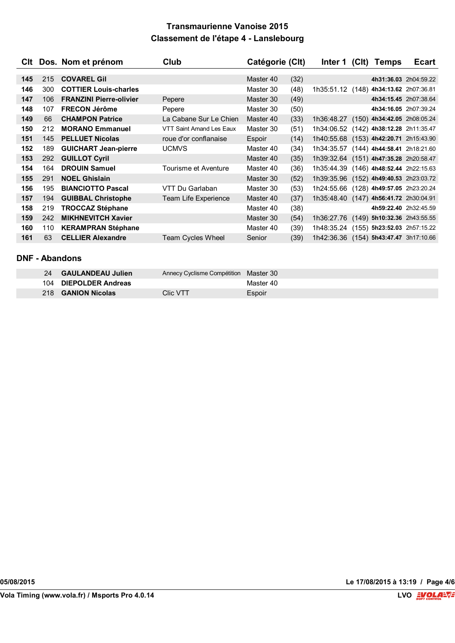|     |     | CIt Dos. Nom et prénom         | Club                     | Catégorie (Clt) |      | Inter 1                                | (C <sub>l</sub> ) | <b>Temps</b>                  | <b>Ecart</b> |
|-----|-----|--------------------------------|--------------------------|-----------------|------|----------------------------------------|-------------------|-------------------------------|--------------|
|     |     |                                |                          |                 |      |                                        |                   |                               |              |
| 145 | 215 | <b>COVAREL Gil</b>             |                          | Master 40       | (32) |                                        |                   | 4h31:36.03 2h04:59.22         |              |
| 146 | 300 | <b>COTTIER Louis-charles</b>   |                          | Master 30       | (48) | 1h35:51.12 (148) 4h34:13.62 2h07:36.81 |                   |                               |              |
| 147 | 106 | <b>FRANZINI Pierre-olivier</b> | Pepere                   | Master 30       | (49) |                                        |                   | 4h34:15.45 2h07:38.64         |              |
| 148 | 107 | <b>FRECON Jérôme</b>           | Pepere                   | Master 30       | (50) |                                        |                   | 4h34:16.05 2h07:39.24         |              |
| 149 | 66  | <b>CHAMPON Patrice</b>         | La Cabane Sur Le Chien   | Master 40       | (33) | 1h36:48.27                             |                   | $(150)$ 4h34:42.05 2h08:05.24 |              |
| 150 | 212 | <b>MORANO Emmanuel</b>         | VTT Saint Amand Les Eaux | Master 30       | (51) | 1h34:06.52                             |                   | (142) 4h38:12.28 2h11:35.47   |              |
| 151 | 145 | <b>PELLUET Nicolas</b>         | roue d'or conflanaise    | Espoir          | (14) | 1h40:55.68 (153) 4h42:20.71 2h15:43.90 |                   |                               |              |
| 152 | 189 | <b>GUICHART Jean-pierre</b>    | <b>UCMVS</b>             | Master 40       | (34) | 1h34:35.57                             |                   | (144) 4h44:58.41 2h18:21.60   |              |
| 153 | 292 | <b>GUILLOT Cyril</b>           |                          | Master 40       | (35) | 1h39:32.64 (151) 4h47:35.28 2h20:58.47 |                   |                               |              |
| 154 | 164 | <b>DROUIN Samuel</b>           | Tourisme et Aventure     | Master 40       | (36) | 1h35:44.39                             |                   | $(146)$ 4h48:52.44 2h22:15.63 |              |
| 155 | 291 | <b>NOEL Ghislain</b>           |                          | Master 30       | (52) | 1h39:35.96 (152) 4h49:40.53 2h23:03.72 |                   |                               |              |
| 156 | 195 | <b>BIANCIOTTO Pascal</b>       | VTT Du Garlaban          | Master 30       | (53) | 1h24:55.66                             |                   | (128) 4h49:57.05 2h23:20.24   |              |
| 157 | 194 | <b>GUIBBAL Christophe</b>      | Team Life Experience     | Master 40       | (37) | 1h35:48.40 (147) 4h56:41.72 2h30:04.91 |                   |                               |              |
| 158 | 219 | <b>TROCCAZ Stéphane</b>        |                          | Master 40       | (38) |                                        |                   | 4h59:22.40 2h32:45.59         |              |
| 159 | 242 | <b>MIKHNEVITCH Xavier</b>      |                          | Master 30       | (54) | 1h36:27.76 (149) 5h10:32.36 2h43:55.55 |                   |                               |              |
| 160 | 110 | <b>KERAMPRAN Stéphane</b>      |                          | Master 40       | (39) | 1h48:35.24                             |                   | (155) 5h23:52.03 2h57:15.22   |              |
| 161 | 63  | <b>CELLIER Alexandre</b>       | <b>Team Cycles Wheel</b> | Senior          | (39) | 1h42:36.36 (154) 5h43:47.47 3h17:10.66 |                   |                               |              |

### **DNF - Abandons**

| 24 GAULANDEAU Julien      | Annecy Cyclisme Compétition Master 30 |           |
|---------------------------|---------------------------------------|-----------|
| 104 DIEPOLDER Andreas     |                                       | Master 40 |
| 218 <b>GANION Nicolas</b> | Clic VTT                              | Espoir    |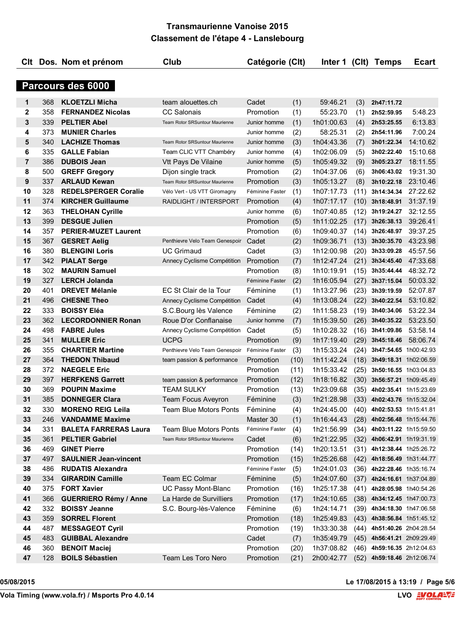|                |     | CIt Dos. Nom et prénom       | Club                           | Catégorie (Clt) |      | Inter 1    |      | (Clt) Temps                  | Ecart                      |
|----------------|-----|------------------------------|--------------------------------|-----------------|------|------------|------|------------------------------|----------------------------|
|                |     |                              |                                |                 |      |            |      |                              |                            |
|                |     | Parcours des 6000            |                                |                 |      |            |      |                              |                            |
| 1              | 368 | <b>KLOETZLI Micha</b>        | team alouettes.ch              | Cadet           | (1)  | 59:46.21   | (3)  | 2h47:11.72                   |                            |
| 2              | 358 | <b>FERNANDEZ Nicolas</b>     | <b>CC Salonais</b>             | Promotion       | (1)  | 55:23.70   | (1)  | 2h52:59.95                   | 5:48.23                    |
| 3              | 339 | <b>PELTIER Abel</b>          | Team Rotor SRSuntour Maurienne | Junior homme    | (1)  | 1h01:00.63 | (4)  | 2h53:25.55                   | 6:13.83                    |
| 4              | 373 | <b>MUNIER Charles</b>        |                                | Junior homme    | (2)  | 58:25.31   | (2)  | 2h54:11.96                   | 7:00.24                    |
| 5              | 340 | <b>LACHIZE Thomas</b>        | Team Rotor SRSuntour Maurienne | Junior homme    | (3)  | 1h04:43.36 | (7)  | 3h01:22.34                   | 14:10.62                   |
| 6              | 335 | <b>GALLE Fabian</b>          | Team CLIC VTT Chambéry         | Junior homme    | (4)  | 1h02:06.09 | (5)  | 3h02:22.40                   | 15:10.68                   |
| $\overline{7}$ | 386 | <b>DUBOIS Jean</b>           | Vtt Pays De Vilaine            | Junior homme    | (5)  | 1h05:49.32 | (9)  | 3h05:23.27                   | 18:11.55                   |
| 8              | 500 | <b>GREFF Gregory</b>         | Dijon single track             | Promotion       | (2)  | 1h04:37.06 | (6)  | 3h06:43.02                   | 19:31.30                   |
| 9              | 337 | <b>ARLAUD Kewan</b>          | Team Rotor SRSuntour Maurienne | Promotion       | (3)  | 1h05:13.27 | (8)  | 3h10:22.18                   | 23:10.46                   |
| 10             | 328 | <b>REDELSPERGER Coralie</b>  | Vélo Vert - US VTT Giromagny   | Féminine Faster | (1)  | 1h07:17.73 | (11) | 3h14:34.34                   | 27:22.62                   |
| 11             | 374 | <b>KIRCHER Guillaume</b>     | RAIDLIGHT / INTERSPORT         | Promotion       | (4)  | 1h07:17.17 | (10) | 3h18:48.91                   | 31:37.19                   |
| 12             | 363 | <b>THELOHAN Cyrille</b>      |                                | Junior homme    | (6)  | 1h07:40.85 | (12) | 3h19:24.27                   | 32:12.55                   |
| 13             | 399 | <b>DESGUE Julien</b>         |                                | Promotion       | (5)  | 1h11:02.25 | (17) | 3h26:38.13                   | 39:26.41                   |
| 14             | 357 | <b>PERIER-MUZET Laurent</b>  |                                | Promotion       | (6)  | 1h09:40.37 | (14) | 3h26:48.97                   | 39:37.25                   |
| 15             | 367 | <b>GESRET Aelig</b>          | Penthievre Velo Team Genespoir | Cadet           | (2)  | 1h09:36.71 | (13) | 3h30:35.70                   | 43:23.98                   |
| 16             | 380 | <b>BLENGINI Loris</b>        | <b>UC Grimaud</b>              | Cadet           | (3)  | 1h12:00.98 | (20) | 3h33:09.28                   | 45:57.56                   |
| 17             | 342 | <b>PIALAT Serge</b>          | Annecy Cyclisme Compétition    | Promotion       | (7)  | 1h12:47.24 | (21) | 3h34:45.40                   | 47:33.68                   |
| 18             | 302 | <b>MAURIN Samuel</b>         |                                | Promotion       | (8)  | 1h10:19.91 | (15) | 3h35:44.44                   | 48:32.72                   |
| 19             | 327 | <b>LERCH Jolanda</b>         |                                | Féminine Faster | (2)  | 1h16:05.94 | (27) | 3h37:15.04                   | 50:03.32                   |
| 20             | 401 | <b>DREVET Mélanie</b>        | EC St Clair de la Tour         | Féminine        | (1)  | 1h13:27.96 | (23) | 3h39:19.59                   | 52:07.87                   |
| 21             | 496 | <b>CHESNE Theo</b>           | Annecy Cyclisme Compétition    | Cadet           | (4)  | 1h13:08.24 | (22) | 3h40:22.54                   | 53:10.82                   |
| 22             | 333 | <b>BOISSY Eléa</b>           | S.C.Bourg lès Valence          | Féminine        | (2)  | 1h11:58.23 | (19) | 3h40:34.06                   | 53:22.34                   |
| 23             | 362 | <b>LECORDONNIER Ronan</b>    | Roue D'or Conflanaise          | Junior homme    | (7)  | 1h15:39.50 | (26) | 3h40:35.22                   | 53:23.50                   |
| 24             | 498 | <b>FABRE Jules</b>           | Annecy Cyclisme Compétition    | Cadet           | (5)  | 1h10:28.32 | (16) | 3h41:09.86                   | 53:58.14                   |
| 25             | 341 | <b>MULLER Eric</b>           | <b>UCPG</b>                    | Promotion       | (9)  | 1h17:19.40 | (29) | 3h45:18.46                   | 58:06.74                   |
| 26             | 355 | <b>CHARTIER Martine</b>      | Penthievre Velo Team Genespoir | Féminine Faster | (3)  | 1h15:33.24 | (24) | 3h47:54.65 1h00:42.93        |                            |
| 27             | 364 | <b>THEDON Thibaud</b>        | team passion & performance     | Promotion       | (10) | 1h11:42.24 | (18) | 3h49:18.31 1h02:06.59        |                            |
| 28             | 372 | <b>NAEGELE Eric</b>          |                                | Promotion       | (11) | 1h15:33.42 | (25) |                              | 3h50:16.55 1h03:04.83      |
| 29             | 397 | <b>HERFKENS Garrett</b>      | team passion & performance     | Promotion       | (12) | 1h18:16.82 | (30) | 3h56:57.21 1h09:45.49        |                            |
| 30             | 369 | <b>POUPIN Maxime</b>         | <b>TEAM SULKY</b>              | Promotion       | (13) | 1h23:09.68 | (35) | 4h02:35.41 1h15:23.69        |                            |
| 31             | 385 | <b>DONNEGER Clara</b>        | Team Focus Aveyron             | Féminine        | (3)  | 1h21:28.98 |      | $(33)$ 4h02:43.76 1h15:32.04 |                            |
| 32             | 330 | <b>MORENO REIG Leila</b>     | Team Blue Motors Ponts         | Féminine        | (4)  | 1h24:45.00 |      | (40) 4h02:53.53 1h15:41.81   |                            |
| 33             | 246 | <b>VANDAMME Maxime</b>       |                                | Master 30       | (1)  | 1h16:44.43 |      | (28) 4h02:56.48 1h15:44.76   |                            |
| 34             | 331 | <b>BALETA FARRERAS Laura</b> | <b>Team Blue Motors Ponts</b>  | Féminine Faster | (4)  | 1h21:56.99 |      | (34) 4h03:11.22 1h15:59.50   |                            |
| 35             | 361 | <b>PELTIER Gabriel</b>       | Team Rotor SRSuntour Maurienne | Cadet           | (6)  | 1h21:22.95 |      |                              | (32) 4h06:42.91 1h19:31.19 |
| 36             | 469 | <b>GINET Pierre</b>          |                                | Promotion       | (14) | 1h20:13.51 |      | $(31)$ 4h12:38.44 1h25:26.72 |                            |
| 37             | 497 | <b>SAULNIER Jean-vincent</b> |                                | Promotion       | (15) | 1h25:26.68 |      | $(42)$ 4h18:56.49 1h31:44.77 |                            |
| 38             | 486 | <b>RUDATIS Alexandra</b>     |                                | Féminine Faster | (5)  | 1h24:01.03 |      | (36) 4h22:28.46 1h35:16.74   |                            |
| 39             | 334 | <b>GIRARDIN Camille</b>      | Team EC Colmar                 | Féminine        | (5)  | 1h24:07.60 |      | $(37)$ 4h24:16.61 1h37:04.89 |                            |
| 40             | 375 | <b>FORT Xavier</b>           | UC Passy Mont-Blanc            | Promotion       | (16) | 1h25:17.38 | (41) | 4h28:05.98 1h40:54.26        |                            |
| 41             | 366 | <b>GUERRIERO Rémy / Anne</b> | La Harde de Survilliers        | Promotion       | (17) | 1h24:10.65 |      | $(38)$ 4h34:12.45 1h47:00.73 |                            |
| 42             | 332 | <b>BOISSY Jeanne</b>         | S.C. Bourg-lès-Valence         | Féminine        | (6)  | 1h24:14.71 | (39) | 4h34:18.30 1h47:06.58        |                            |
| 43             | 359 | <b>SORREL Florent</b>        |                                | Promotion       | (18) | 1h25:49.83 |      |                              | (43) 4h38:56.84 1h51:45.12 |
| 44             | 487 | <b>MESSAGEOT Cyril</b>       |                                | Promotion       | (19) | 1h33:30.38 | (44) | 4h51:40.26 2h04:28.54        |                            |
| 45             | 483 | <b>GUIBBAL Alexandre</b>     |                                | Cadet           | (7)  | 1h35:49.79 |      | (45) 4h56:41.21 2h09:29.49   |                            |
| 46             | 360 | <b>BENOIT Maciej</b>         |                                | Promotion       | (20) | 1h37:08.82 |      | (46) 4h59:16.35 2h12:04.63   |                            |
| 47             | 128 | <b>BOILS Sébastien</b>       | Team Les Toro Nero             | Promotion       | (21) | 2h00:42.77 |      | (52) 4h59:18.46 2h12:06.74   |                            |

**05/08/2015 Le 17/08/2015 à 13:19 / Page 5/6**